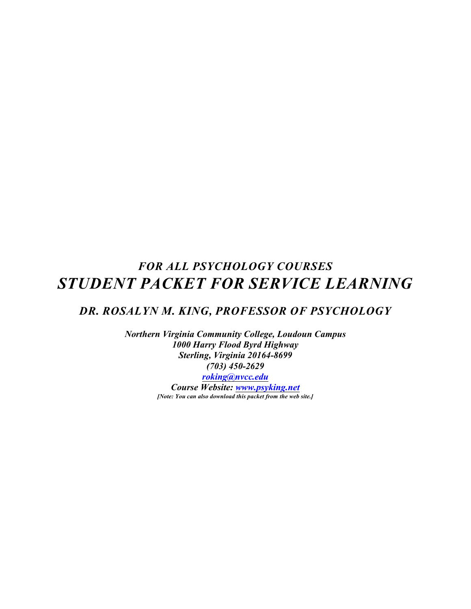# *FOR ALL PSYCHOLOGY COURSES STUDENT PACKET FOR SERVICE LEARNING*

# *DR. ROSALYN M. KING, PROFESSOR OF PSYCHOLOGY*

*Northern Virginia Community College, Loudoun Campus 1000 Harry Flood Byrd Highway Sterling, Virginia 20164-8699 (703) 450-2629*

*[roking@nvcc.edu](mailto:roking@nvcc.edu) Course Website: [www.psyking.net](http://www.psyking.net) [Note: You can also download this packet from the web site.]*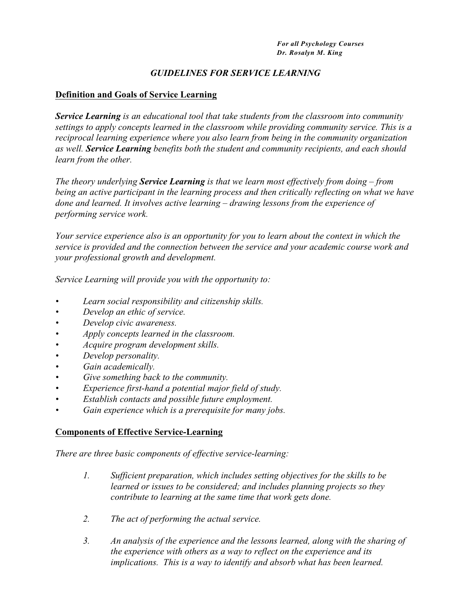# *GUIDELINES FOR SERVICE LEARNING*

## **Definition and Goals of Service Learning**

*Service Learning is an educational tool that take students from the classroom into community settings to apply concepts learned in the classroom while providing community service. This is a reciprocal learning experience where you also learn from being in the community organization as well. Service Learning benefits both the student and community recipients, and each should learn from the other.*

*The theory underlying Service Learning is that we learn most effectively from doing – from being an active participant in the learning process and then critically reflecting on what we have done and learned. It involves active learning – drawing lessons from the experience of performing service work.* 

*Your service experience also is an opportunity for you to learn about the context in which the service is provided and the connection between the service and your academic course work and your professional growth and development.*

*Service Learning will provide you with the opportunity to:*

- *• Learn social responsibility and citizenship skills.*
- *• Develop an ethic of service.*
- *• Develop civic awareness.*
- *• Apply concepts learned in the classroom.*
- *• Acquire program development skills.*
- *• Develop personality.*
- *• Gain academically.*
- *• Give something back to the community.*
- *• Experience first-hand a potential major field of study.*
- *• Establish contacts and possible future employment.*
- *• Gain experience which is a prerequisite for many jobs.*

## **Components of Effective Service-Learning**

*There are three basic components of effective service-learning:*

- *1. Sufficient preparation, which includes setting objectives for the skills to be learned or issues to be considered; and includes planning projects so they contribute to learning at the same time that work gets done.*
- *2. The act of performing the actual service.*
- *3. An analysis of the experience and the lessons learned, along with the sharing of the experience with others as a way to reflect on the experience and its implications. This is a way to identify and absorb what has been learned.*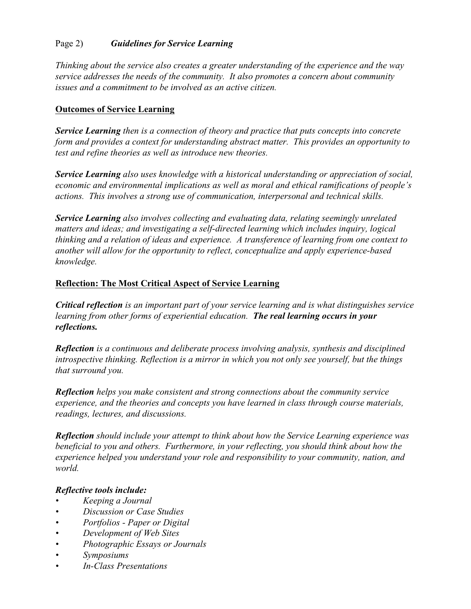# Page 2) *Guidelines for Service Learning*

*Thinking about the service also creates a greater understanding of the experience and the way service addresses the needs of the community. It also promotes a concern about community issues and a commitment to be involved as an active citizen.*

# **Outcomes of Service Learning**

*Service Learning then is a connection of theory and practice that puts concepts into concrete form and provides a context for understanding abstract matter. This provides an opportunity to test and refine theories as well as introduce new theories.*

*Service Learning also uses knowledge with a historical understanding or appreciation of social, economic and environmental implications as well as moral and ethical ramifications of people's actions. This involves a strong use of communication, interpersonal and technical skills.*

*Service Learning also involves collecting and evaluating data, relating seemingly unrelated matters and ideas; and investigating a self-directed learning which includes inquiry, logical thinking and a relation of ideas and experience. A transference of learning from one context to another will allow for the opportunity to reflect, conceptualize and apply experience-based knowledge.*

# **Reflection: The Most Critical Aspect of Service Learning**

*Critical reflection is an important part of your service learning and is what distinguishes service learning from other forms of experiential education. The real learning occurs in your reflections.*

*Reflection is a continuous and deliberate process involving analysis, synthesis and disciplined introspective thinking. Reflection is a mirror in which you not only see yourself, but the things that surround you.*

*Reflection helps you make consistent and strong connections about the community service experience, and the theories and concepts you have learned in class through course materials, readings, lectures, and discussions.* 

*Reflection should include your attempt to think about how the Service Learning experience was beneficial to you and others. Furthermore, in your reflecting, you should think about how the experience helped you understand your role and responsibility to your community, nation, and world.*

## *Reflective tools include:*

- *• Keeping a Journal*
- *• Discussion or Case Studies*
- *• Portfolios Paper or Digital*
- *• Development of Web Sites*
- *• Photographic Essays or Journals*
- *• Symposiums*
- *• In-Class Presentations*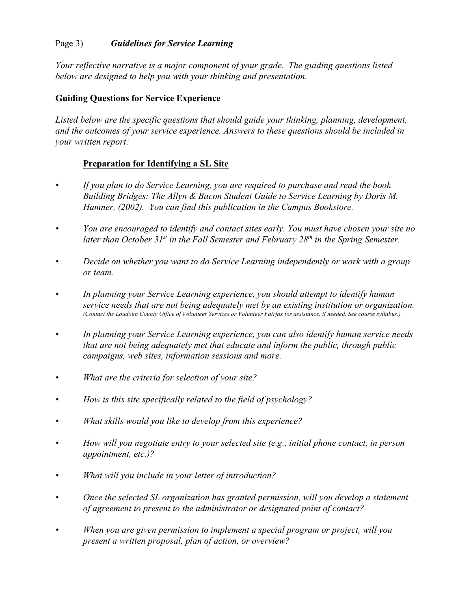# Page 3) *Guidelines for Service Learning*

*Your reflective narrative is a major component of your grade. The guiding questions listed below are designed to help you with your thinking and presentation.*

# **Guiding Questions for Service Experience**

*Listed below are the specific questions that should guide your thinking, planning, development, and the outcomes of your service experience. Answers to these questions should be included in your written report:*

# **Preparation for Identifying a SL Site**

- *• If you plan to do Service Learning, you are required to purchase and read the book Building Bridges: The Allyn & Bacon Student Guide to Service Learning by Doris M. Hamner, (2002). You can find this publication in the Campus Bookstore.*
- *• You are encouraged to identify and contact sites early. You must have chosen your site no later than October 31<sup>st</sup> in the Fall Semester and February 28<sup>th</sup> in the Spring Semester.*
- *• Decide on whether you want to do Service Learning independently or work with a group or team.*
- *• In planning your Service Learning experience, you should attempt to identify human service needs that are not being adequately met by an existing institution or organization. (Contact the Loudoun County Office of Volunteer Services or Volunteer Fairfax for assistance, if needed. See course syllabus.)*
- *• In planning your Service Learning experience, you can also identify human service needs that are not being adequately met that educate and inform the public, through public campaigns, web sites, information sessions and more.*
- *• What are the criteria for selection of your site?*
- *• How is this site specifically related to the field of psychology?*
- *• What skills would you like to develop from this experience?*
- *• How will you negotiate entry to your selected site (e.g., initial phone contact, in person appointment, etc.)?*
- *• What will you include in your letter of introduction?*
- *• Once the selected SL organization has granted permission, will you develop a statement of agreement to present to the administrator or designated point of contact?*
- *• When you are given permission to implement a special program or project, will you present a written proposal, plan of action, or overview?*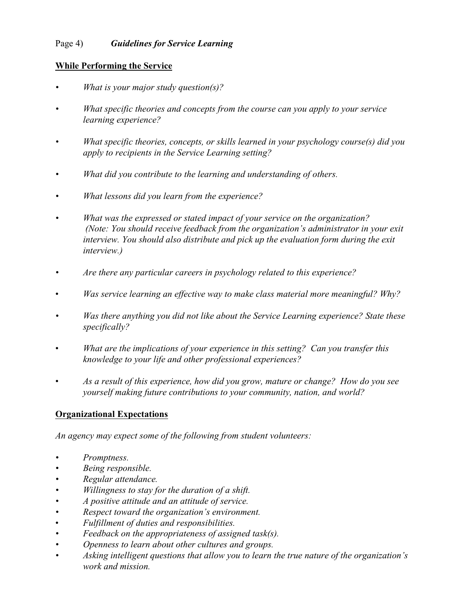# Page 4) *Guidelines for Service Learning*

# **While Performing the Service**

- *• What is your major study question(s)?*
- *• What specific theories and concepts from the course can you apply to your service learning experience?*
- *• What specific theories, concepts, or skills learned in your psychology course(s) did you apply to recipients in the Service Learning setting?*
- *• What did you contribute to the learning and understanding of others.*
- *• What lessons did you learn from the experience?*
- *• What was the expressed or stated impact of your service on the organization? (Note: You should receive feedback from the organization's administrator in your exit interview. You should also distribute and pick up the evaluation form during the exit interview.)*
- *• Are there any particular careers in psychology related to this experience?*
- *Was service learning an effective way to make class material more meaningful? Why?*
- *• Was there anything you did not like about the Service Learning experience? State these specifically?*
- *What are the implications of your experience in this setting? Can you transfer this knowledge to your life and other professional experiences?*
- *As a result of this experience, how did you grow, mature or change? How do you see yourself making future contributions to your community, nation, and world?*

# **Organizational Expectations**

*An agency may expect some of the following from student volunteers:*

- *• Promptness.*
- *• Being responsible.*
- *• Regular attendance.*
- *• Willingness to stay for the duration of a shift.*
- *• A positive attitude and an attitude of service.*
- *• Respect toward the organization's environment.*
- *Fulfillment of duties and responsibilities.*
- *• Feedback on the appropriateness of assigned task(s).*
- *• Openness to learn about other cultures and groups.*
- *• Asking intelligent questions that allow you to learn the true nature of the organization's work and mission.*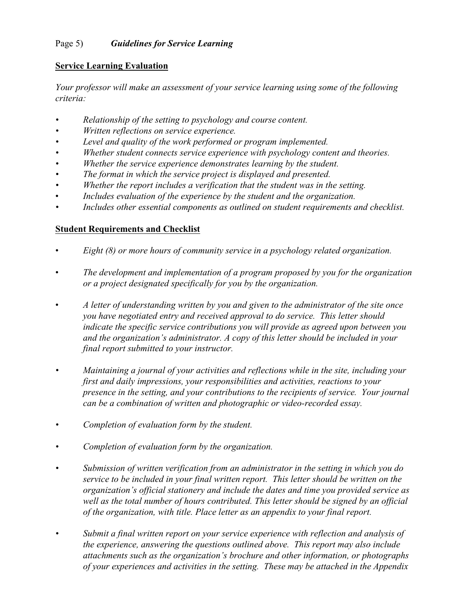# Page 5) *Guidelines for Service Learning*

# **Service Learning Evaluation**

*Your professor will make an assessment of your service learning using some of the following criteria:*

- *• Relationship of the setting to psychology and course content.*
- *• Written reflections on service experience.*
- *• Level and quality of the work performed or program implemented.*
- *• Whether student connects service experience with psychology content and theories.*
- *• Whether the service experience demonstrates learning by the student.*
- *• The format in which the service project is displayed and presented.*
- *• Whether the report includes a verification that the student was in the setting.*
- *Includes evaluation of the experience by the student and the organization.*
- *• Includes other essential components as outlined on student requirements and checklist.*

# **Student Requirements and Checklist**

- *Eight (8) or more hours of community service in a psychology related organization.*
- *The development and implementation of a program proposed by you for the organization or a project designated specifically for you by the organization.*
- *A letter of understanding written by you and given to the administrator of the site once you have negotiated entry and received approval to do service. This letter should indicate the specific service contributions you will provide as agreed upon between you and the organization's administrator. A copy of this letter should be included in your final report submitted to your instructor.*
- *• Maintaining a journal of your activities and reflections while in the site, including your first and daily impressions, your responsibilities and activities, reactions to your presence in the setting, and your contributions to the recipients of service. Your journal can be a combination of written and photographic or video-recorded essay.*
- *• Completion of evaluation form by the student.*
- *• Completion of evaluation form by the organization.*
- *• Submission of written verification from an administrator in the setting in which you do service to be included in your final written report. This letter should be written on the organization's official stationery and include the dates and time you provided service as well as the total number of hours contributed. This letter should be signed by an official of the organization, with title. Place letter as an appendix to your final report.*
- *• Submit a final written report on your service experience with reflection and analysis of the experience, answering the questions outlined above. This report may also include attachments such as the organization's brochure and other information, or photographs of your experiences and activities in the setting. These may be attached in the Appendix*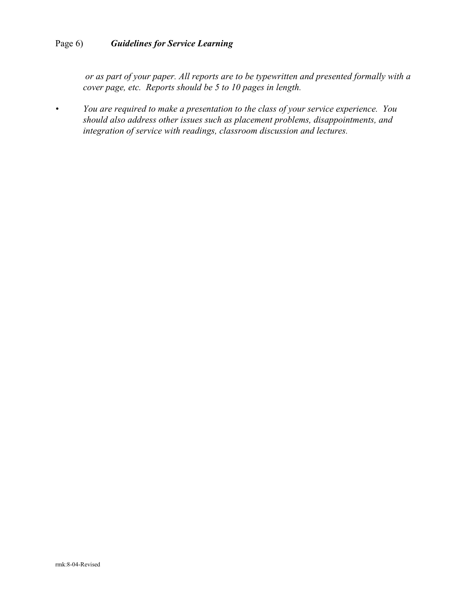# Page 6) *Guidelines for Service Learning*

 *or as part of your paper. All reports are to be typewritten and presented formally with a cover page, etc. Reports should be 5 to 10 pages in length.*

*• You are required to make a presentation to the class of your service experience. You should also address other issues such as placement problems, disappointments, and integration of service with readings, classroom discussion and lectures.*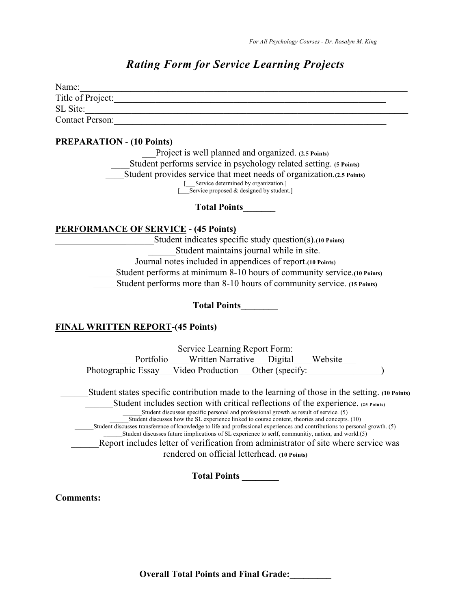# *Rating Form for Service Learning Projects*

| Name:                  |  |
|------------------------|--|
| Title of Project:      |  |
| SL Site:               |  |
| <b>Contact Person:</b> |  |

# **PREPARATION** - **(10 Points)**

Project is well planned and organized. **(2.5 Points)** \_\_\_\_Student performs service in psychology related setting. **(5 Points)** \_\_\_\_Student provides service that meet needs of organization.**(2.5 Points)** [\_\_\_Service determined by organization.] [\_\_\_Service proposed & designed by student.]

**Total Points\_\_\_\_\_\_\_**

# **PERFORMANCE OF SERVICE - (45 Points)**

| Student indicates specific study question(s). (10 Points)                |
|--------------------------------------------------------------------------|
| Student maintains journal while in site.                                 |
| Journal notes included in appendices of report. (10 Points)              |
| Student performs at minimum 8-10 hours of community service. (10 Points) |
| Student performs more than 8-10 hours of community service. (15 Points)  |

**Total Points\_\_\_\_\_\_\_\_**

# **FINAL WRITTEN REPORT-(45 Points)**

| Service Learning Report Form:                                                                                              |  |  |  |  |
|----------------------------------------------------------------------------------------------------------------------------|--|--|--|--|
| Portfolio Written Narrative Digital<br>Website                                                                             |  |  |  |  |
| Photographic Essay Video Production Other (specify:                                                                        |  |  |  |  |
| Student states specific contribution made to the learning of those in the setting. (10 Points)                             |  |  |  |  |
| Student includes section with critical reflections of the experience. (25 Points)                                          |  |  |  |  |
| Student discusses specific personal and professional growth as result of service. (5)                                      |  |  |  |  |
| Student discusses how the SL experience linked to course content, theories and concepts. (10)                              |  |  |  |  |
| Student discusses transference of knowledge to life and professional experiences and contributions to personal growth. (5) |  |  |  |  |
| Student discusses future implications of SL experience to serlf, communitiy, nation, and world.(5)                         |  |  |  |  |
| Report includes letter of verification from administrator of site where service was                                        |  |  |  |  |
| rendered on official letterhead. (10 Points)                                                                               |  |  |  |  |
| <b>Total Points</b>                                                                                                        |  |  |  |  |

**Comments:**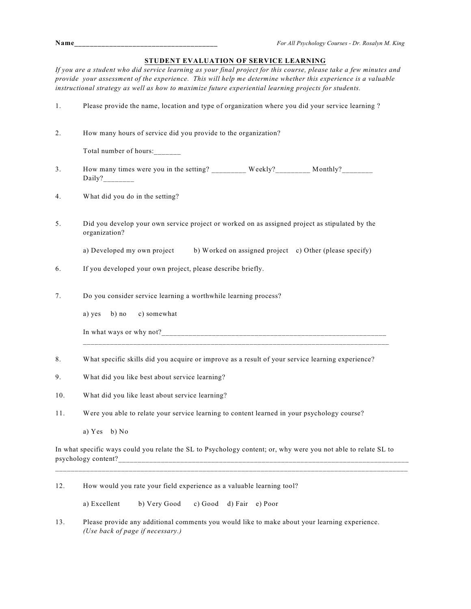| o m<br>a. | ۰.<br>× |  |
|-----------|---------|--|
|           |         |  |

## **STUDENT EVALUATION OF SERVICE LEARNING**

*If you are a student who did service learning as your final project for this course, please take a few minutes and provide your assessment of the experience. This will help me determine whether this experience is a valuable instructional strategy as well as how to maximize future experiential learning projects for students.*

| 1.  | Please provide the name, location and type of organization where you did your service learning?                 |  |
|-----|-----------------------------------------------------------------------------------------------------------------|--|
| 2.  | How many hours of service did you provide to the organization?                                                  |  |
|     | Total number of hours:                                                                                          |  |
| 3.  | How many times were you in the setting? Weekly? Monthly? Monthly?                                               |  |
| 4.  | What did you do in the setting?                                                                                 |  |
| 5.  | Did you develop your own service project or worked on as assigned project as stipulated by the<br>organization? |  |
|     | a) Developed my own project b) Worked on assigned project c) Other (please specify)                             |  |
| 6.  | If you developed your own project, please describe briefly.                                                     |  |
| 7.  | Do you consider service learning a worthwhile learning process?                                                 |  |
|     | c) somewhat<br>a) yes<br>$b)$ no                                                                                |  |
|     |                                                                                                                 |  |
| 8.  | What specific skills did you acquire or improve as a result of your service learning experience?                |  |
| 9.  | What did you like best about service learning?                                                                  |  |
| 10. | What did you like least about service learning?                                                                 |  |
| 11. | Were you able to relate your service learning to content learned in your psychology course?                     |  |
|     | a) $Yes$ b) $No$                                                                                                |  |

In what specific ways could you relate the SL to Psychology content; or, why were you not able to relate SL to psychology content?\_\_\_\_\_\_\_\_\_\_\_\_\_\_\_\_\_\_\_\_\_\_\_\_\_\_\_\_\_\_\_\_\_\_\_\_\_\_\_\_\_\_\_\_\_\_\_\_\_\_\_\_\_\_\_\_\_\_\_\_\_\_\_\_\_\_\_\_\_\_\_\_\_\_\_

\_\_\_\_\_\_\_\_\_\_\_\_\_\_\_\_\_\_\_\_\_\_\_\_\_\_\_\_\_\_\_\_\_\_\_\_\_\_\_\_\_\_\_\_\_\_\_\_\_\_\_\_\_\_\_\_\_\_\_\_\_\_\_\_\_\_\_\_\_\_\_\_\_\_\_\_\_\_\_\_\_\_\_\_\_\_\_\_\_\_\_

#### 12. How would you rate your field experience as a valuable learning tool?

a) Excellent b) Very Good c) Good d) Fair e) Poor

13. Please provide any additional comments you would like to make about your learning experience. *(Use back of page if necessary.)*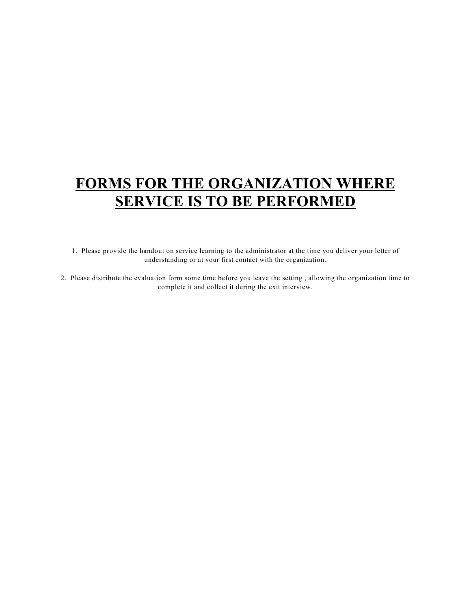# **FORMS FOR THE ORGANIZATION WHERE SERVICE IS TO BE PERFORMED**

1. Please provide the handout on service learning to the administrator at the time you deliver your letter of understanding or at your first contact with the organization.

2. Please distribute the evaluation form some time before you leave the setting , allowing the organization time to complete it and collect it during the exit interview.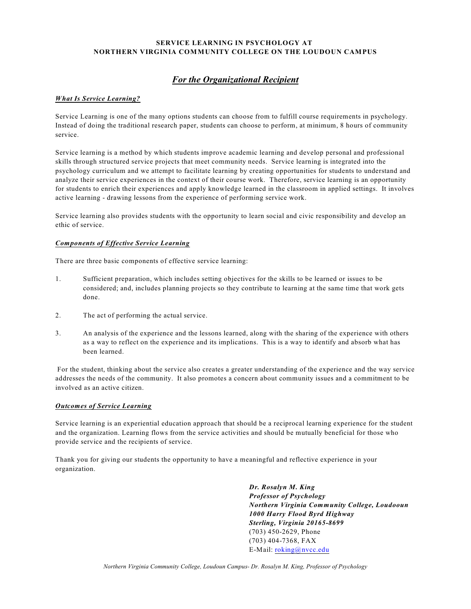### **SERVICE LEARNING IN PSYCHOLOGY AT NORTHERN VIRGINIA COMMUNITY COLLEGE ON THE LOUDOUN CAMPUS**

# *For the Organizational Recipient*

### *What Is Service Learning?*

Service Learning is one of the many options students can choose from to fulfill course requirements in psychology. Instead of doing the traditional research paper, students can choose to perform, at minimum, 8 hours of community service.

Service learning is a method by which students improve academic learning and develop personal and professional skills through structured service projects that meet community needs. Service learning is integrated into the psychology curriculum and we attempt to facilitate learning by creating opportunities for students to understand and analyze their service experiences in the context of their course work. Therefore, service learning is an opportunity for students to enrich their experiences and apply knowledge learned in the classroom in applied settings. It involves active learning - drawing lessons from the experience of performing service work.

Service learning also provides students with the opportunity to learn social and civic responsibility and develop an ethic of service.

#### *Components of Effective Service Learning*

There are three basic components of effective service learning:

- 1. Sufficient preparation, which includes setting objectives for the skills to be learned or issues to be considered; and, includes planning projects so they contribute to learning at the same time that work gets done.
- 2. The act of performing the actual service.
- 3. An analysis of the experience and the lessons learned, along with the sharing of the experience with others as a way to reflect on the experience and its implications. This is a way to identify and absorb what has been learned.

 For the student, thinking about the service also creates a greater understanding of the experience and the way service addresses the needs of the community. It also promotes a concern about community issues and a commitment to be involved as an active citizen.

#### *Outcomes of Service Learning*

Service learning is an experiential education approach that should be a reciprocal learning experience for the student and the organization. Learning flows from the service activities and should be mutually beneficial for those who provide service and the recipients of service.

Thank you for giving our students the opportunity to have a meaningful and reflective experience in your organization.

> *Dr. Rosalyn M. King Professor of Psychology Northern Virginia Community College, Loudooun 1000 Harry Flood Byrd Highway Sterling, Virginia 20165-8699* (703) 450-2629, Phone (703) 404-7368, FAX E-Mail: [roking@nvcc.edu](mailto:roking@nvcc.vccs.edu)